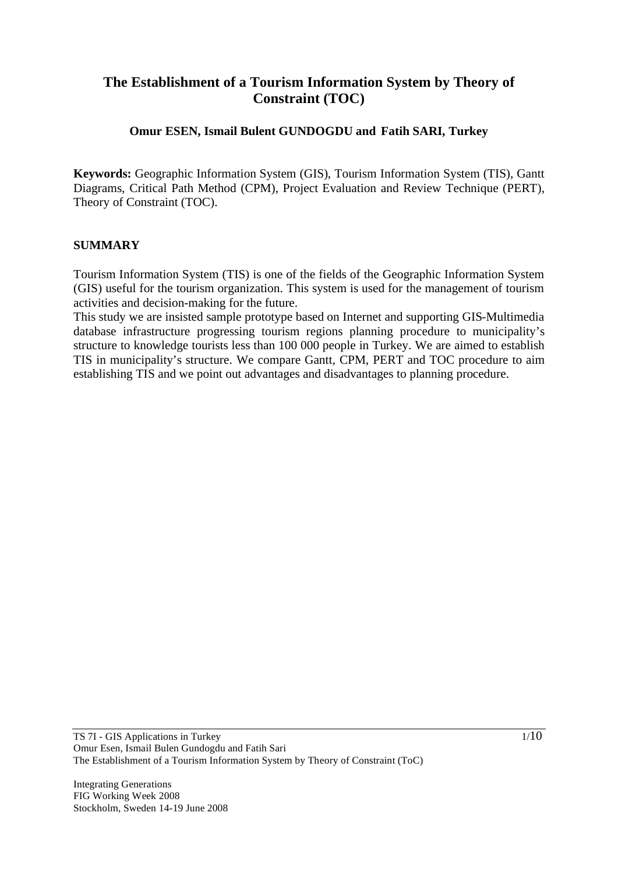## **The Establishment of a Tourism Information System by Theory of Constraint (TOC)**

### **Omur ESEN, Ismail Bulent GUNDOGDU and Fatih SARI, Turkey**

**Keywords:** Geographic Information System (GIS), Tourism Information System (TIS), Gantt Diagrams, Critical Path Method (CPM), Project Evaluation and Review Technique (PERT), Theory of Constraint (TOC).

#### **SUMMARY**

Tourism Information System (TIS) is one of the fields of the Geographic Information System (GIS) useful for the tourism organization. This system is used for the management of tourism activities and decision-making for the future.

This study we are insisted sample prototype based on Internet and supporting GIS-Multimedia database infrastructure progressing tourism regions planning procedure to municipality's structure to knowledge tourists less than 100 000 people in Turkey. We are aimed to establish TIS in municipality's structure. We compare Gantt, CPM, PERT and TOC procedure to aim establishing TIS and we point out advantages and disadvantages to planning procedure.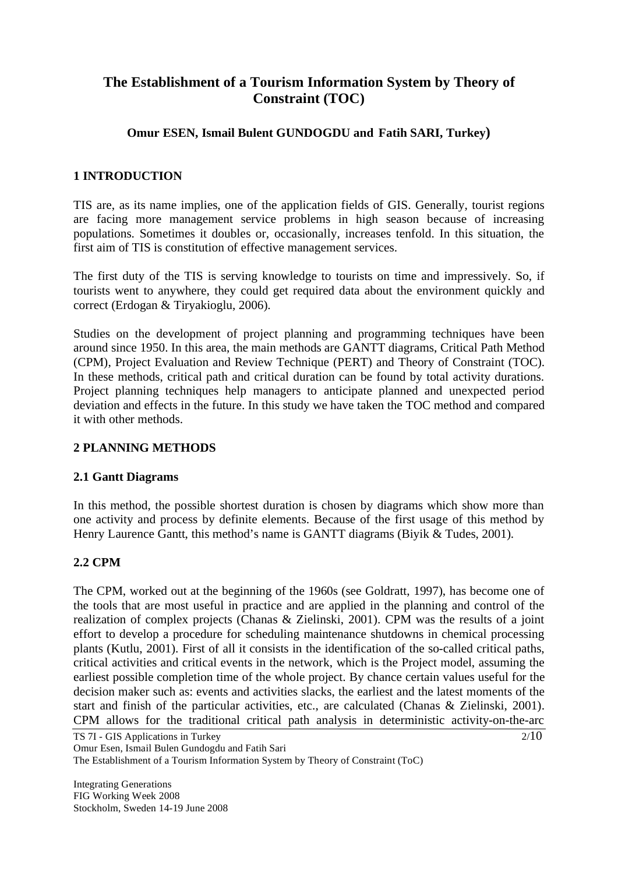# **The Establishment of a Tourism Information System by Theory of Constraint (TOC)**

## **Omur ESEN, Ismail Bulent GUNDOGDU and Fatih SARI, Turkey)**

## **1 INTRODUCTION**

TIS are, as its name implies, one of the application fields of GIS. Generally, tourist regions are facing more management service problems in high season because of increasing populations. Sometimes it doubles or, occasionally, increases tenfold. In this situation, the first aim of TIS is constitution of effective management services.

The first duty of the TIS is serving knowledge to tourists on time and impressively. So, if tourists went to anywhere, they could get required data about the environment quickly and correct (Erdogan & Tiryakioglu, 2006).

Studies on the development of project planning and programming techniques have been around since 1950. In this area, the main methods are GANTT diagrams, Critical Path Method (CPM), Project Evaluation and Review Technique (PERT) and Theory of Constraint (TOC). In these methods, critical path and critical duration can be found by total activity durations. Project planning techniques help managers to anticipate planned and unexpected period deviation and effects in the future. In this study we have taken the TOC method and compared it with other methods.

## **2 PLANNING METHODS**

#### **2.1 Gantt Diagrams**

In this method, the possible shortest duration is chosen by diagrams which show more than one activity and process by definite elements. Because of the first usage of this method by Henry Laurence Gantt, this method's name is GANTT diagrams (Biyik & Tudes, 2001).

#### **2.2 CPM**

The CPM, worked out at the beginning of the 1960s (see Goldratt, 1997), has become one of the tools that are most useful in practice and are applied in the planning and control of the realization of complex projects (Chanas & Zielinski, 2001). CPM was the results of a joint effort to develop a procedure for scheduling maintenance shutdowns in chemical processing plants (Kutlu, 2001). First of all it consists in the identification of the so-called critical paths, critical activities and critical events in the network, which is the Project model, assuming the earliest possible completion time of the whole project. By chance certain values useful for the decision maker such as: events and activities slacks, the earliest and the latest moments of the start and finish of the particular activities, etc., are calculated (Chanas & Zielinski, 2001). CPM allows for the traditional critical path analysis in deterministic activity-on-the-arc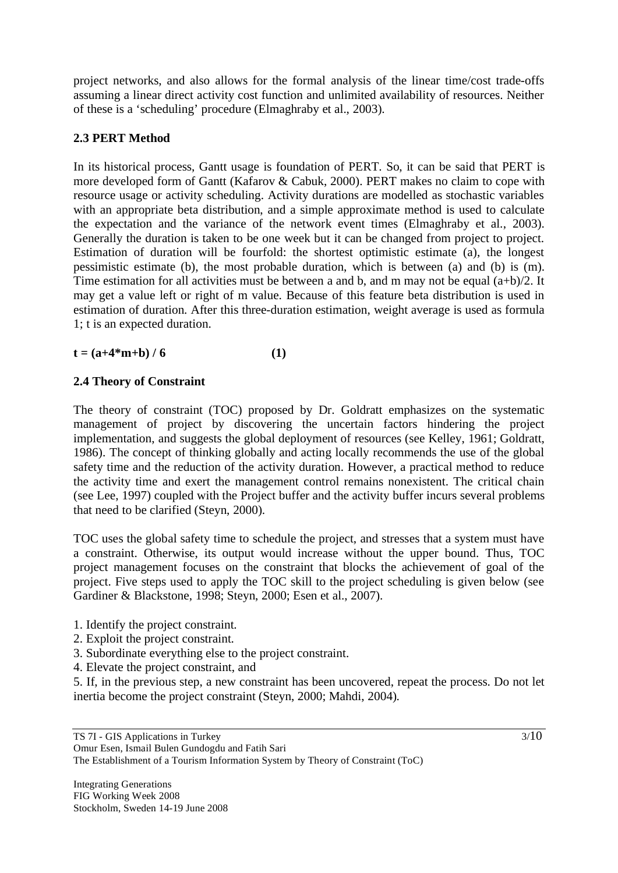project networks, and also allows for the formal analysis of the linear time/cost trade-offs assuming a linear direct activity cost function and unlimited availability of resources. Neither of these is a 'scheduling' procedure (Elmaghraby et al., 2003).

## **2.3 PERT Method**

In its historical process, Gantt usage is foundation of PERT. So, it can be said that PERT is more developed form of Gantt (Kafarov & Cabuk, 2000). PERT makes no claim to cope with resource usage or activity scheduling. Activity durations are modelled as stochastic variables with an appropriate beta distribution, and a simple approximate method is used to calculate the expectation and the variance of the network event times (Elmaghraby et al., 2003). Generally the duration is taken to be one week but it can be changed from project to project. Estimation of duration will be fourfold: the shortest optimistic estimate (a), the longest pessimistic estimate (b), the most probable duration, which is between (a) and (b) is (m). Time estimation for all activities must be between a and b, and m may not be equal  $(a+b)/2$ . It may get a value left or right of m value. Because of this feature beta distribution is used in estimation of duration. After this three-duration estimation, weight average is used as formula 1; t is an expected duration.

$$
t = (a+4*m+b) / 6
$$
 (1)

#### **2.4 Theory of Constraint**

The theory of constraint (TOC) proposed by Dr. Goldratt emphasizes on the systematic management of project by discovering the uncertain factors hindering the project implementation, and suggests the global deployment of resources (see Kelley, 1961; Goldratt, 1986). The concept of thinking globally and acting locally recommends the use of the global safety time and the reduction of the activity duration. However, a practical method to reduce the activity time and exert the management control remains nonexistent. The critical chain (see Lee, 1997) coupled with the Project buffer and the activity buffer incurs several problems that need to be clarified (Steyn, 2000).

TOC uses the global safety time to schedule the project, and stresses that a system must have a constraint. Otherwise, its output would increase without the upper bound. Thus, TOC project management focuses on the constraint that blocks the achievement of goal of the project. Five steps used to apply the TOC skill to the project scheduling is given below (see Gardiner & Blackstone, 1998; Steyn, 2000; Esen et al., 2007).

- 1. Identify the project constraint.
- 2. Exploit the project constraint.
- 3. Subordinate everything else to the project constraint.
- 4. Elevate the project constraint, and

5. If, in the previous step, a new constraint has been uncovered, repeat the process. Do not let inertia become the project constraint (Steyn, 2000; Mahdi, 2004).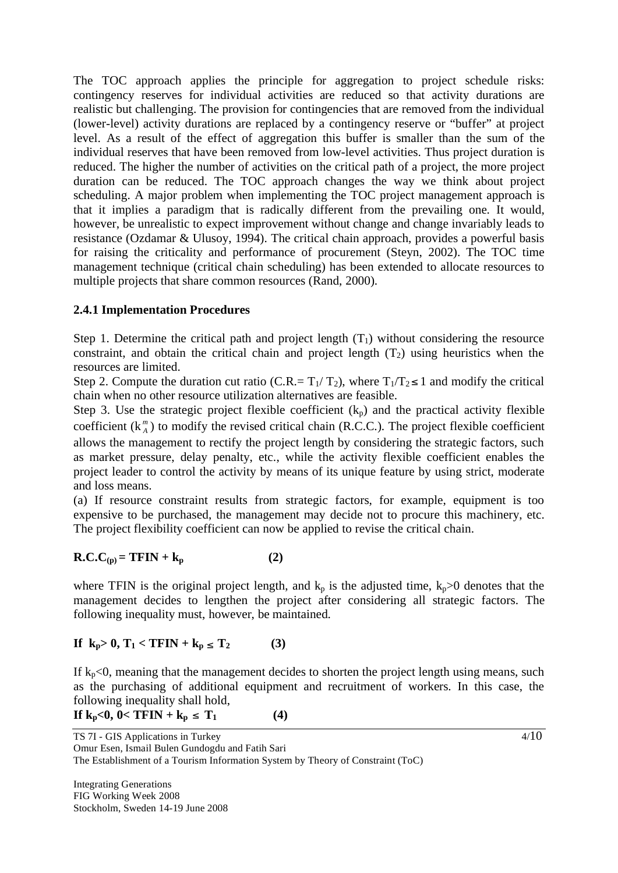The TOC approach applies the principle for aggregation to project schedule risks: contingency reserves for individual activities are reduced so that activity durations are realistic but challenging. The provision for contingencies that are removed from the individual (lower-level) activity durations are replaced by a contingency reserve or "buffer" at project level. As a result of the effect of aggregation this buffer is smaller than the sum of the individual reserves that have been removed from low-level activities. Thus project duration is reduced. The higher the number of activities on the critical path of a project, the more project duration can be reduced. The TOC approach changes the way we think about project scheduling. A major problem when implementing the TOC project management approach is that it implies a paradigm that is radically different from the prevailing one. It would, however, be unrealistic to expect improvement without change and change invariably leads to resistance (Ozdamar & Ulusoy, 1994). The critical chain approach, provides a powerful basis for raising the criticality and performance of procurement (Steyn, 2002). The TOC time management technique (critical chain scheduling) has been extended to allocate resources to multiple projects that share common resources (Rand, 2000).

## **2.4.1 Implementation Procedures**

Step 1. Determine the critical path and project length  $(T_1)$  without considering the resource constraint, and obtain the critical chain and project length  $(T_2)$  using heuristics when the resources are limited.

Step 2. Compute the duration cut ratio (C.R.=  $T_1/T_2$ ), where  $T_1/T_2 \le 1$  and modify the critical chain when no other resource utilization alternatives are feasible.

Step 3. Use the strategic project flexible coefficient  $(k_p)$  and the practical activity flexible coefficient  $(k_A^m)$  to modify the revised critical chain (R.C.C.). The project flexible coefficient

allows the management to rectify the project length by considering the strategic factors, such as market pressure, delay penalty, etc., while the activity flexible coefficient enables the project leader to control the activity by means of its unique feature by using strict, moderate and loss means.

(a) If resource constraint results from strategic factors, for example, equipment is too expensive to be purchased, the management may decide not to procure this machinery, etc. The project flexibility coefficient can now be applied to revise the critical chain.

$$
R.C.C(p) = TFIN + kp
$$
 (2)

where TFIN is the original project length, and  $k_p$  is the adjusted time,  $k_p>0$  denotes that the management decides to lengthen the project after considering all strategic factors. The following inequality must, however, be maintained.

## **If**  $k_p > 0$ ,  $T_1 < TFIN + k_p \le T_2$  (3)

If  $k_p < 0$ , meaning that the management decides to shorten the project length using means, such as the purchasing of additional equipment and recruitment of workers. In this case, the following inequality shall hold,

If 
$$
k_p < 0
$$
,  $0 < TFIN + k_p \leq T_1$   $(4)$ 

Omur Esen, Ismail Bulen Gundogdu and Fatih Sari The Establishment of a Tourism Information System by Theory of Constraint (ToC)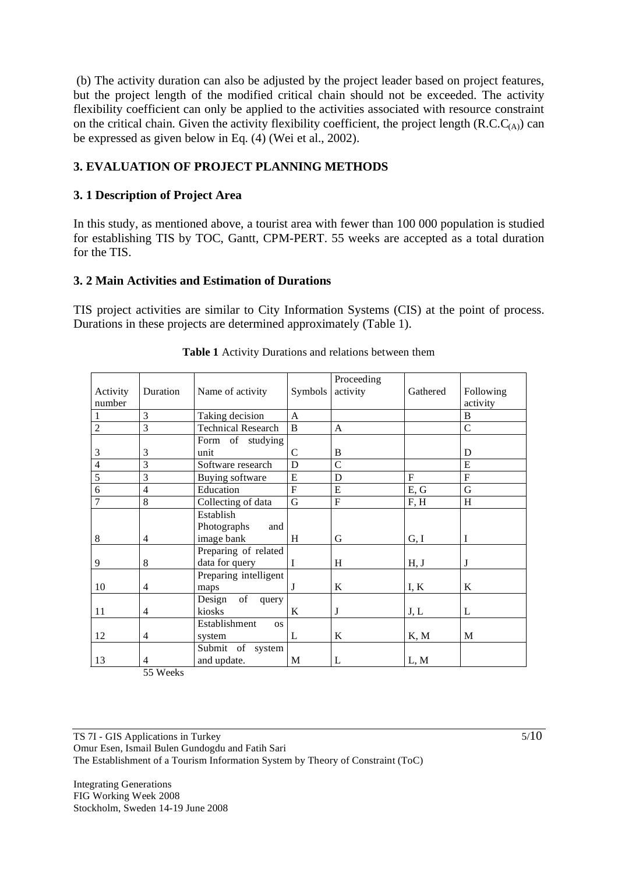(b) The activity duration can also be adjusted by the project leader based on project features, but the project length of the modified critical chain should not be exceeded. The activity flexibility coefficient can only be applied to the activities associated with resource constraint on the critical chain. Given the activity flexibility coefficient, the project length  $(R.C.C<sub>(A)</sub>)$  can be expressed as given below in Eq. (4) (Wei et al., 2002).

## **3. EVALUATION OF PROJECT PLANNING METHODS**

#### **3. 1 Description of Project Area**

In this study, as mentioned above, a tourist area with fewer than 100 000 population is studied for establishing TIS by TOC, Gantt, CPM-PERT. 55 weeks are accepted as a total duration for the TIS.

#### **3. 2 Main Activities and Estimation of Durations**

TIS project activities are similar to City Information Systems (CIS) at the point of process. Durations in these projects are determined approximately (Table 1).

| Activity<br>number | Duration       | Name of activity                              | Symbols | Proceeding<br>activity | Gathered       | Following<br>activity |
|--------------------|----------------|-----------------------------------------------|---------|------------------------|----------------|-----------------------|
|                    | 3              | Taking decision                               | A       |                        |                | B                     |
| $\overline{2}$     | 3              | <b>Technical Research</b>                     | B       | A                      |                | $\mathcal{C}$         |
|                    |                | Form of studying                              |         |                        |                |                       |
| 3                  | 3              | unit                                          | C       | B                      |                | D                     |
| $\overline{4}$     | 3              | Software research                             | D       | $\overline{C}$         |                | E                     |
| 5                  | 3              | Buying software                               | E       | D                      | $\overline{F}$ | $\mathbf{F}$          |
| 6                  | $\overline{4}$ | Education                                     | F       | E                      | E, G           | G                     |
| $\overline{7}$     | 8              | Collecting of data                            | G       | F                      | F, H           | H                     |
| 8                  | $\overline{4}$ | Establish<br>Photographs<br>and<br>image bank | H       | G                      | G, I           | I                     |
| 9                  | 8              | Preparing of related<br>data for query        | I       | H                      | H, J           | J                     |
| 10                 | $\overline{4}$ | Preparing intelligent<br>maps                 | J       | K                      | I, K           | K                     |
| 11                 | $\overline{4}$ | of<br>Design<br>query<br>kiosks               | K       | J                      | J, L           | L                     |
| 12                 | $\overline{4}$ | Establishment<br><b>OS</b><br>system          | L       | K                      | K, M           | M                     |
| 13                 | 4              | Submit of system<br>and update.               | M       | L                      | L, M           |                       |

#### **Table 1** Activity Durations and relations between them

55 Weeks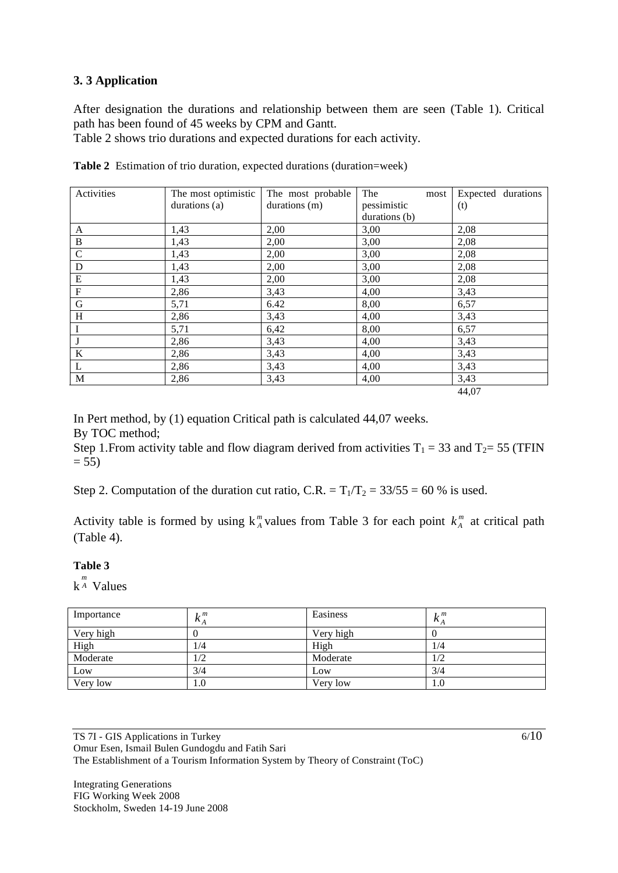#### **3. 3 Application**

After designation the durations and relationship between them are seen (Table 1). Critical path has been found of 45 weeks by CPM and Gantt.

Table 2 shows trio durations and expected durations for each activity.

| Activities                | The most optimistic | The most probable | The<br>most   | Expected durations |
|---------------------------|---------------------|-------------------|---------------|--------------------|
|                           | durations (a)       | durations (m)     | pessimistic   | (t)                |
|                           |                     |                   | durations (b) |                    |
| A                         | 1,43                | 2,00              | 3,00          | 2,08               |
| $\, {\bf B}$              | 1,43                | 2,00              | 3,00          | 2,08               |
| $\mathbf C$               | 1,43                | 2,00              | 3,00          | 2,08               |
| $\mathbf D$               | 1,43                | 2,00              | 3,00          | 2,08               |
| ${\bf E}$                 | 1,43                | 2,00              | 3,00          | 2,08               |
| $\boldsymbol{\mathrm{F}}$ | 2,86                | 3,43              | 4,00          | 3,43               |
| $\mathbf G$               | 5,71                | 6.42              | 8,00          | 6,57               |
| $\,$ H                    | 2,86                | 3,43              | 4,00          | 3,43               |
| $\mathbf I$               | 5,71                | 6,42              | 8,00          | 6,57               |
| $\bf J$                   | 2,86                | 3,43              | 4,00          | 3,43               |
| $\bf K$                   | 2,86                | 3,43              | 4,00          | 3,43               |
| L                         | 2,86                | 3,43              | 4,00          | 3,43               |
| M                         | 2,86                | 3,43              | 4,00          | 3,43               |
|                           |                     |                   |               | 44,07              |

**Table 2** Estimation of trio duration, expected durations (duration=week)

In Pert method, by (1) equation Critical path is calculated 44,07 weeks. By TOC method;

Step 1. From activity table and flow diagram derived from activities  $T_1 = 33$  and  $T_2 = 55$  (TFIN  $= 55$ 

Step 2. Computation of the duration cut ratio, C.R. =  $T_1/T_2 = 33/55 = 60$  % is used.

Activity table is formed by using  $k_A^m$  values from Table 3 for each point  $k_A^m$  at critical path (Table 4).

#### **Table 3**

 $k^{\frac{m}{A}}$  Values

| Importance | $k_A^m$ | Easiness  | 1, m<br>$\kappa_A$ |
|------------|---------|-----------|--------------------|
| Very high  |         | Very high |                    |
| High       | 1/4     | High      | 1/4                |
| Moderate   | 1/2     | Moderate  | 1/2                |
| Low        | 3/4     | Low       | 3/4                |
| Very low   | 1.0     | Very low  | 1.0                |

TS 7I - GIS Applications in Turkey Omur Esen, Ismail Bulen Gundogdu and Fatih Sari The Establishment of a Tourism Information System by Theory of Constraint (ToC)

Integrating Generations FIG Working Week 2008 Stockholm, Sweden 14-19 June 2008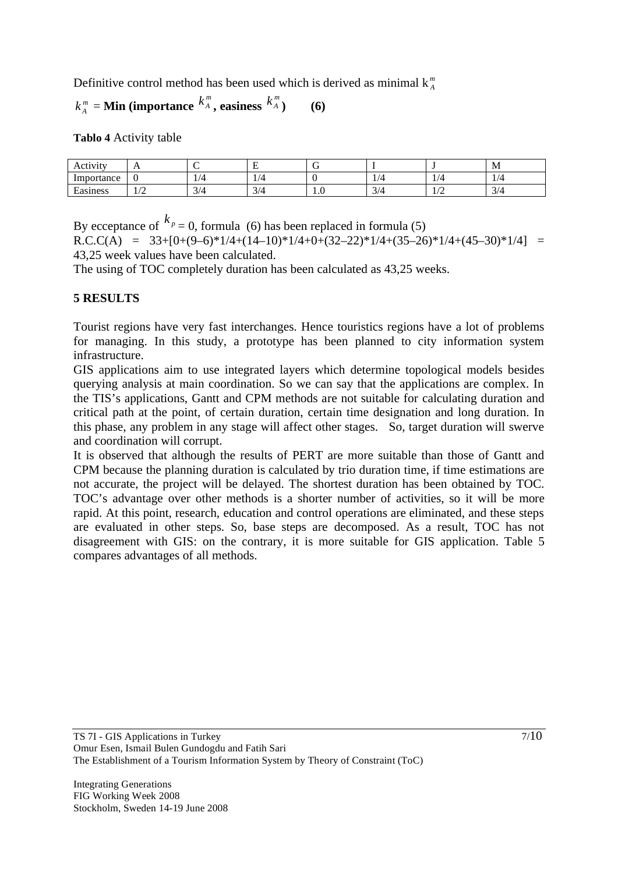Definitive control method has been used which is derived as minimal  $k_A^m$ 

# $k_A^m$  = **Min** (importance  $k_A^m$ , easiness  $k_A^m$ ) (6)

**Tablo 4** Activity table

| Activity      | . .                         | . . |                                            | . . |                       |         | M             |
|---------------|-----------------------------|-----|--------------------------------------------|-----|-----------------------|---------|---------------|
| Importance    | л.                          | 1/4 |                                            |     | $\pm$ / $\rightarrow$ |         | 74<br>1/7     |
| Ē<br>Easiness | $\sqrt{ }$<br>$\frac{1}{2}$ | 3/4 | $\sim$<br>$\Delta/L$<br>$U$ $\overline{U}$ | 1.0 | 3/4                   | $\pm 1$ | $\sim$<br>3/4 |

By ecceptance of  $k_p = 0$ , formula (6) has been replaced in formula (5)

 $R.C.C(A) = 33+[0+(9-6)*1/4+(14-10)*1/4+0+(32-22)*1/4+(35-26)*1/4+(45-30)*1/4] =$ 43,25 week values have been calculated.

The using of TOC completely duration has been calculated as 43,25 weeks.

## **5 RESULTS**

Tourist regions have very fast interchanges. Hence touristics regions have a lot of problems for managing. In this study, a prototype has been planned to city information system infrastructure.

GIS applications aim to use integrated layers which determine topological models besides querying analysis at main coordination. So we can say that the applications are complex. In the TIS's applications, Gantt and CPM methods are not suitable for calculating duration and critical path at the point, of certain duration, certain time designation and long duration. In this phase, any problem in any stage will affect other stages. So, target duration will swerve and coordination will corrupt.

It is observed that although the results of PERT are more suitable than those of Gantt and CPM because the planning duration is calculated by trio duration time, if time estimations are not accurate, the project will be delayed. The shortest duration has been obtained by TOC. TOC's advantage over other methods is a shorter number of activities, so it will be more rapid. At this point, research, education and control operations are eliminated, and these steps are evaluated in other steps. So, base steps are decomposed. As a result, TOC has not disagreement with GIS: on the contrary, it is more suitable for GIS application. Table 5 compares advantages of all methods.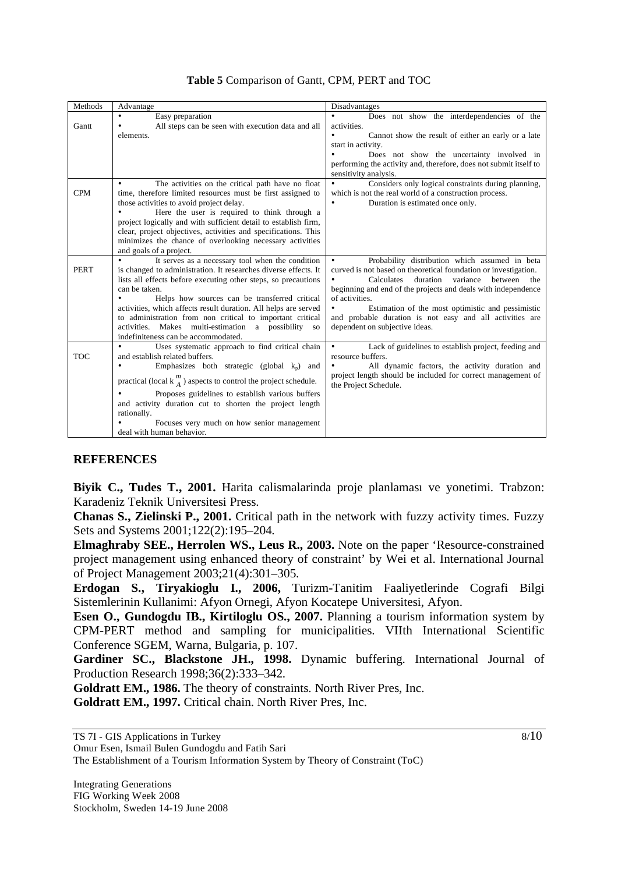| Methods     | Advantage                                                                                                                                                                                                                                                                                                                                                                                                                                                                                          | Disadvantages                                                                                                                                                                                                                                                                                                                                                                                                                    |
|-------------|----------------------------------------------------------------------------------------------------------------------------------------------------------------------------------------------------------------------------------------------------------------------------------------------------------------------------------------------------------------------------------------------------------------------------------------------------------------------------------------------------|----------------------------------------------------------------------------------------------------------------------------------------------------------------------------------------------------------------------------------------------------------------------------------------------------------------------------------------------------------------------------------------------------------------------------------|
| Gantt       | $\bullet$<br>Easy preparation<br>All steps can be seen with execution data and all<br>elements.                                                                                                                                                                                                                                                                                                                                                                                                    | $\bullet$<br>Does not show the interdependencies of the<br>activities.<br>Cannot show the result of either an early or a late<br>start in activity.<br>Does not show the uncertainty involved in<br>$\bullet$<br>performing the activity and, therefore, does not submit itself to<br>sensitivity analysis.                                                                                                                      |
| <b>CPM</b>  | The activities on the critical path have no float<br>$\bullet$<br>time, therefore limited resources must be first assigned to<br>those activities to avoid project delay.<br>Here the user is required to think through a<br>project logically and with sufficient detail to establish firm,<br>clear, project objectives, activities and specifications. This<br>minimizes the chance of overlooking necessary activities<br>and goals of a project.                                              | $\bullet$<br>Considers only logical constraints during planning,<br>which is not the real world of a construction process.<br>Duration is estimated once only.<br>$\bullet$                                                                                                                                                                                                                                                      |
| <b>PERT</b> | It serves as a necessary tool when the condition<br>$\bullet$<br>is changed to administration. It researches diverse effects. It<br>lists all effects before executing other steps, so precautions<br>can be taken.<br>Helps how sources can be transferred critical<br>activities, which affects result duration. All helps are served<br>to administration from non critical to important critical<br>activities. Makes multi-estimation a possibility so<br>indefiniteness can be accommodated. | Probability distribution which assumed in beta<br>$\bullet$<br>curved is not based on theoretical foundation or investigation.<br>Calculates duration variance<br>between the<br>beginning and end of the projects and deals with independence<br>of activities.<br>Estimation of the most optimistic and pessimistic<br>$\bullet$<br>and probable duration is not easy and all activities are<br>dependent on subjective ideas. |
| <b>TOC</b>  | Uses systematic approach to find critical chain<br>٠<br>and establish related buffers.<br>Emphasizes both strategic (global $kp$ ) and<br>$\bullet$<br>practical (local $k_A^m$ ) aspects to control the project schedule.<br>Proposes guidelines to establish various buffers<br>and activity duration cut to shorten the project length<br>rationally.<br>Focuses very much on how senior management<br>deal with human behavior.                                                                | Lack of guidelines to establish project, feeding and<br>$\bullet$<br>resource buffers.<br>All dynamic factors, the activity duration and<br>$\bullet$<br>project length should be included for correct management of<br>the Project Schedule.                                                                                                                                                                                    |

#### **Table 5** Comparison of Gantt, CPM, PERT and TOC

#### **REFERENCES**

**Biyik C., Tudes T., 2001.** Harita calismalarinda proje planlaması ve yonetimi. Trabzon: Karadeniz Teknik Universitesi Press.

**Chanas S., Zielinski P., 2001.** Critical path in the network with fuzzy activity times. Fuzzy Sets and Systems 2001;122(2):195–204.

**Elmaghraby SEE., Herrolen WS., Leus R., 2003.** Note on the paper 'Resource-constrained project management using enhanced theory of constraint' by Wei et al. International Journal of Project Management 2003;21(4):301–305.

**Erdogan S., Tiryakioglu I., 2006,** Turizm-Tanitim Faaliyetlerinde Cografi Bilgi Sistemlerinin Kullanimi: Afyon Ornegi, Afyon Kocatepe Universitesi, Afyon.

**Esen O., Gundogdu IB., Kirtiloglu OS., 2007.** Planning a tourism information system by CPM-PERT method and sampling for municipalities. VIIth International Scientific Conference SGEM, Warna, Bulgaria, p. 107.

**Gardiner SC., Blackstone JH., 1998.** Dynamic buffering. International Journal of Production Research 1998;36(2):333–342.

**Goldratt EM., 1986.** The theory of constraints. North River Pres, Inc.

**Goldratt EM., 1997.** Critical chain. North River Pres, Inc.

Omur Esen, Ismail Bulen Gundogdu and Fatih Sari The Establishment of a Tourism Information System by Theory of Constraint (ToC)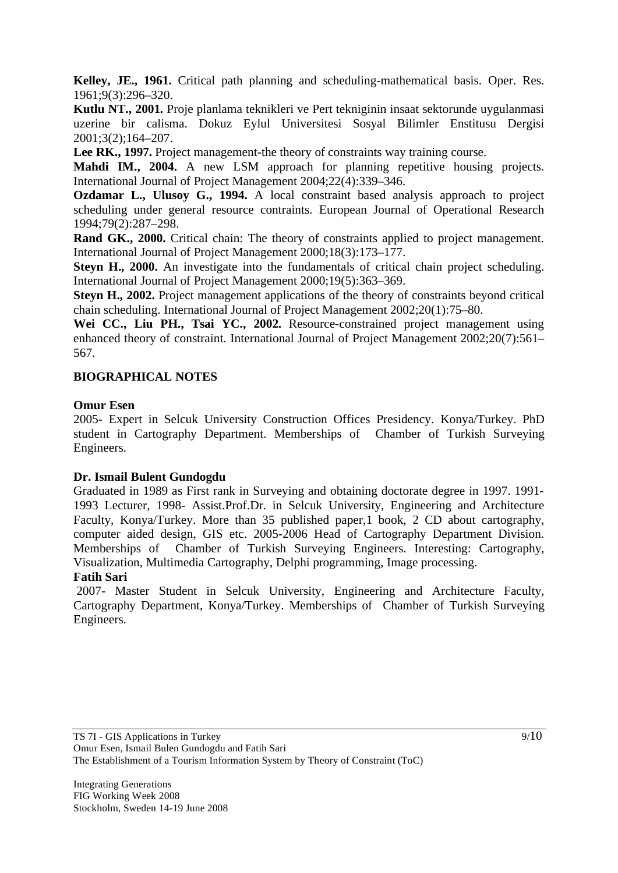**Kelley, JE., 1961.** Critical path planning and scheduling-mathematical basis. Oper. Res. 1961;9(3):296–320.

**Kutlu NT., 2001.** Proje planlama teknikleri ve Pert tekniginin insaat sektorunde uygulanmasi uzerine bir calisma. Dokuz Eylul Universitesi Sosyal Bilimler Enstitusu Dergisi 2001;3(2);164–207.

Lee RK., 1997. Project management-the theory of constraints way training course.

Mahdi IM., 2004. A new LSM approach for planning repetitive housing projects. International Journal of Project Management 2004;22(4):339–346.

**Ozdamar L., Ulusoy G., 1994.** A local constraint based analysis approach to project scheduling under general resource contraints. European Journal of Operational Research 1994;79(2):287–298.

**Rand GK., 2000.** Critical chain: The theory of constraints applied to project management. International Journal of Project Management 2000;18(3):173–177.

**Steyn H., 2000.** An investigate into the fundamentals of critical chain project scheduling. International Journal of Project Management 2000;19(5):363–369.

**Steyn H., 2002.** Project management applications of the theory of constraints beyond critical chain scheduling. International Journal of Project Management 2002;20(1):75–80.

Wei CC., Liu PH., Tsai YC., 2002. Resource-constrained project management using enhanced theory of constraint. International Journal of Project Management 2002;20(7):561– 567.

#### **BIOGRAPHICAL NOTES**

#### **Omur Esen**

2005- Expert in Selcuk University Construction Offices Presidency. Konya/Turkey. PhD student in Cartography Department. Memberships of Chamber of Turkish Surveying Engineers.

#### **Dr. Ismail Bulent Gundogdu**

Graduated in 1989 as First rank in Surveying and obtaining doctorate degree in 1997. 1991- 1993 Lecturer, 1998- Assist.Prof.Dr. in Selcuk University, Engineering and Architecture Faculty, Konya/Turkey. More than 35 published paper,1 book, 2 CD about cartography, computer aided design, GIS etc. 2005-2006 Head of Cartography Department Division. Memberships of Chamber of Turkish Surveying Engineers. Interesting: Cartography, Visualization, Multimedia Cartography, Delphi programming, Image processing.

#### **Fatih Sari**

 2007- Master Student in Selcuk University, Engineering and Architecture Faculty, Cartography Department, Konya/Turkey. Memberships of Chamber of Turkish Surveying Engineers.